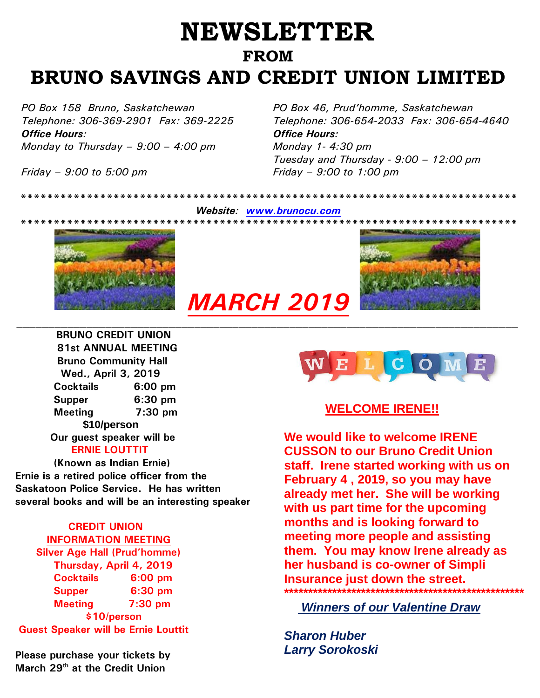## **NEWSLETTER FROM BRUNO SAVINGS AND CREDIT UNION LIMITED**

*PO Box 158 Bruno, Saskatchewan PO Box 46, Prud'homme, Saskatchewan Office Hours: Office Hours: Monday to Thursday – 9:00 – 4:00 pm Monday 1- 4:30 pm*

*Telephone: 306-369-2901 Fax: 369-2225 Telephone: 306-654-2033 Fax: 306-654-4640 Tuesday and Thursday - 9:00 – 12:00 pm Friday – 9:00 to 5:00 pm Friday – 9:00 to 1:00 pm*

> *Website: [www.brunocu.com](http://www.brunocu.com/) \*\*\*\*\*\*\*\*\*\*\*\*\*\*\*\*\*\*\*\*\*\*\*\*\*\*\*\*\*\*\*\*\*\*\*\*\*\*\*\*\*\*\*\*\*\*\*\*\*\*\*\*\*\*\*\*\*\*\*\*\*\*\*\*\*\*\*\*\*\*\*\*\*\*\**

*\*\*\*\*\*\*\*\*\*\*\*\*\*\*\*\*\*\*\*\*\*\*\*\*\*\*\*\*\*\*\*\*\*\*\*\*\*\*\*\*\*\*\*\*\*\*\*\*\*\*\*\*\*\*\*\*\*\*\*\*\*\*\*\*\*\*\*\*\*\*\*\*\*\*\**





# *MARCH 2019*

 **BRUNO CREDIT UNION 81st ANNUAL MEETING Bruno Community Hall Wed., April 3, 2019 Cocktails 6:00 pm Supper 6:30 pm Meeting 7:30 pm \$10/person Our guest speaker will be** 

#### **ERNIE LOUTTIT**

 **(Known as Indian Ernie) Ernie is a retired police officer from the Saskatoon Police Service. He has written several books and will be an interesting speaker** 

 **CREDIT UNION INFORMATION MEETING**  **Silver Age Hall (Prud'homme) Thursday, April 4, 2019** **Cocktails 6:00 pm Supper 6:30 pm Meeting 7:30 pm \$10/person Guest Speaker will be Ernie Louttit**

**Please purchase your tickets by March 29th at the Credit Union** 



#### **WELCOME IRENE!!**

**We would like to welcome IRENE CUSSON to our Bruno Credit Union staff. Irene started working with us on February 4 , 2019, so you may have already met her. She will be working with us part time for the upcoming months and is looking forward to meeting more people and assisting them. You may know Irene already as her husband is co-owner of Simpli Insurance just down the street. \*\*\*\*\*\*\*\*\*\*\*\*\*\*\*\*\*\*\*\*\*\*\*\*\*\*\*\*\*\*\*\*\*\*\*\*\*\*\*\*\*\*\*\*\*\*\*\*\*\***

 *Winners of our Valentine Draw*

*Sharon Huber Larry Sorokoski*